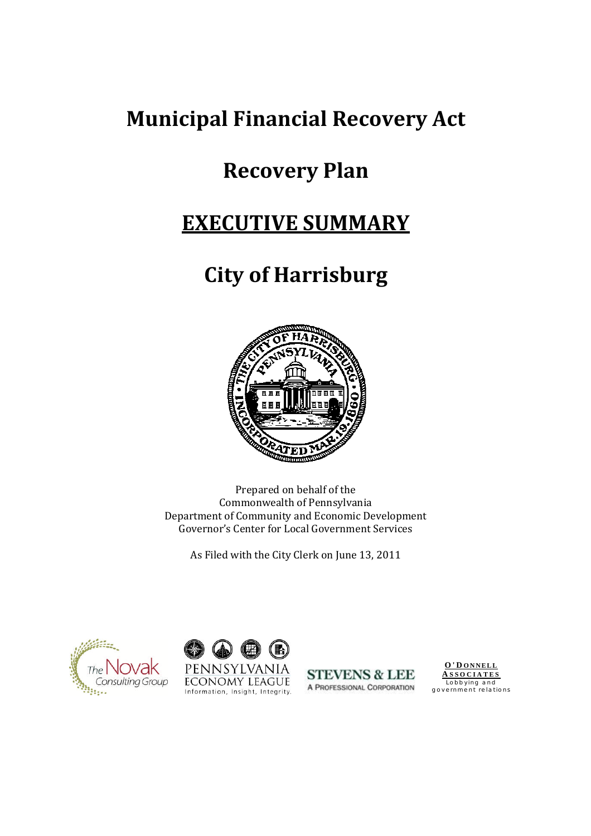# **Municipal Financial Recovery Act**

# **Recovery Plan**

# **EXECUTIVE SUMMARY**

# **City of Harrisburg**



Prepared on behalf of the Commonwealth of Pennsylvania Department of Community and Economic Development Governor's Center for Local Government Services

As Filed with the City Clerk on June 13, 2011







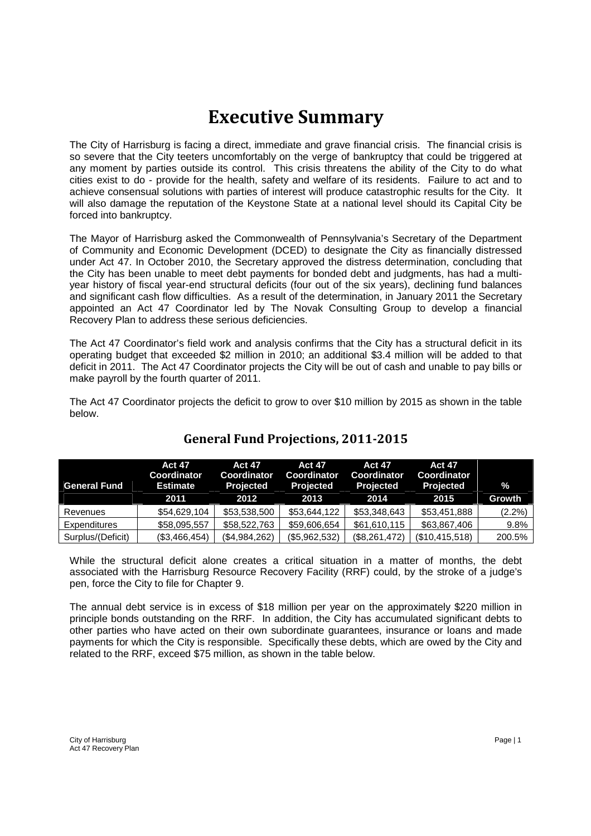## **Executive Summary**

The City of Harrisburg is facing a direct, immediate and grave financial crisis. The financial crisis is so severe that the City teeters uncomfortably on the verge of bankruptcy that could be triggered at any moment by parties outside its control. This crisis threatens the ability of the City to do what cities exist to do - provide for the health, safety and welfare of its residents. Failure to act and to achieve consensual solutions with parties of interest will produce catastrophic results for the City. It will also damage the reputation of the Keystone State at a national level should its Capital City be forced into bankruptcy.

The Mayor of Harrisburg asked the Commonwealth of Pennsylvania's Secretary of the Department of Community and Economic Development (DCED) to designate the City as financially distressed under Act 47. In October 2010, the Secretary approved the distress determination, concluding that the City has been unable to meet debt payments for bonded debt and judgments, has had a multiyear history of fiscal year-end structural deficits (four out of the six years), declining fund balances and significant cash flow difficulties. As a result of the determination, in January 2011 the Secretary appointed an Act 47 Coordinator led by The Novak Consulting Group to develop a financial Recovery Plan to address these serious deficiencies.

The Act 47 Coordinator's field work and analysis confirms that the City has a structural deficit in its operating budget that exceeded \$2 million in 2010; an additional \$3.4 million will be added to that deficit in 2011. The Act 47 Coordinator projects the City will be out of cash and unable to pay bills or make payroll by the fourth quarter of 2011.

The Act 47 Coordinator projects the deficit to grow to over \$10 million by 2015 as shown in the table below.

|                     | <b>Act 47</b><br><b>Coordinator</b> | <b>Act 47</b><br><b>Coordinator</b> | <b>Act 47</b><br><b>Coordinator</b> | <b>Act 47</b><br>Coordinator | <b>Act 47</b><br><b>Coordinator</b> |               |
|---------------------|-------------------------------------|-------------------------------------|-------------------------------------|------------------------------|-------------------------------------|---------------|
| <b>General Fund</b> | <b>Estimate</b>                     | <b>Projected</b>                    | <b>Projected</b>                    | <b>Projected</b>             | <b>Projected</b>                    | $\frac{0}{2}$ |
|                     | 2011                                | 2012                                | 2013                                | 2014                         | 2015                                | <b>Growth</b> |
| Revenues            | \$54,629,104                        | \$53,538,500                        | \$53,644,122                        | \$53,348,643                 | \$53,451,888                        | $(2.2\%)$     |
| Expenditures        | \$58,095,557                        | \$58,522,763                        | \$59,606,654                        | \$61,610,115                 | \$63,867,406                        | $9.8\%$       |
| Surplus/(Deficit)   | (\$3,466,454)                       | (\$4,984,262)                       | (\$5,962,532)                       | (\$8,261,472)                | (\$10,415,518)                      | 200.5%        |

## **General Fund Projections, 2011-2015**

While the structural deficit alone creates a critical situation in a matter of months, the debt associated with the Harrisburg Resource Recovery Facility (RRF) could, by the stroke of a judge's pen, force the City to file for Chapter 9.

The annual debt service is in excess of \$18 million per year on the approximately \$220 million in principle bonds outstanding on the RRF. In addition, the City has accumulated significant debts to other parties who have acted on their own subordinate guarantees, insurance or loans and made payments for which the City is responsible. Specifically these debts, which are owed by the City and related to the RRF, exceed \$75 million, as shown in the table below.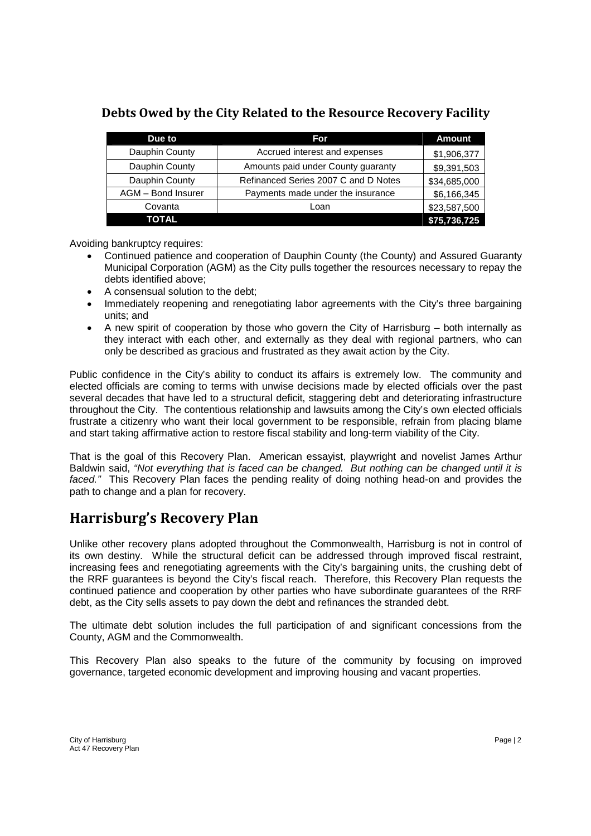| Due to             | For                                  | <b>Amount</b> |
|--------------------|--------------------------------------|---------------|
| Dauphin County     | Accrued interest and expenses        | \$1,906,377   |
| Dauphin County     | Amounts paid under County guaranty   | \$9,391,503   |
| Dauphin County     | Refinanced Series 2007 C and D Notes | \$34,685,000  |
| AGM - Bond Insurer | Payments made under the insurance    | \$6,166,345   |
| Covanta            | Loan                                 | \$23,587,500  |
| <b>TOTAL</b>       |                                      | \$75,736,725  |

### **Debts Owed by the City Related to the Resource Recovery Facility**

Avoiding bankruptcy requires:

- Continued patience and cooperation of Dauphin County (the County) and Assured Guaranty Municipal Corporation (AGM) as the City pulls together the resources necessary to repay the debts identified above;
- A consensual solution to the debt:
- Immediately reopening and renegotiating labor agreements with the City's three bargaining units; and
- A new spirit of cooperation by those who govern the City of Harrisburg both internally as they interact with each other, and externally as they deal with regional partners, who can only be described as gracious and frustrated as they await action by the City.

Public confidence in the City's ability to conduct its affairs is extremely low. The community and elected officials are coming to terms with unwise decisions made by elected officials over the past several decades that have led to a structural deficit, staggering debt and deteriorating infrastructure throughout the City. The contentious relationship and lawsuits among the City's own elected officials frustrate a citizenry who want their local government to be responsible, refrain from placing blame and start taking affirmative action to restore fiscal stability and long-term viability of the City.

That is the goal of this Recovery Plan. American essayist, playwright and novelist James Arthur Baldwin said, *"Not everything that is faced can be changed. But nothing can be changed until it is faced."* This Recovery Plan faces the pending reality of doing nothing head-on and provides the path to change and a plan for recovery.

## **Harrisburg's Recovery Plan**

Unlike other recovery plans adopted throughout the Commonwealth, Harrisburg is not in control of its own destiny. While the structural deficit can be addressed through improved fiscal restraint, increasing fees and renegotiating agreements with the City's bargaining units, the crushing debt of the RRF guarantees is beyond the City's fiscal reach. Therefore, this Recovery Plan requests the continued patience and cooperation by other parties who have subordinate guarantees of the RRF debt, as the City sells assets to pay down the debt and refinances the stranded debt.

The ultimate debt solution includes the full participation of and significant concessions from the County, AGM and the Commonwealth.

This Recovery Plan also speaks to the future of the community by focusing on improved governance, targeted economic development and improving housing and vacant properties.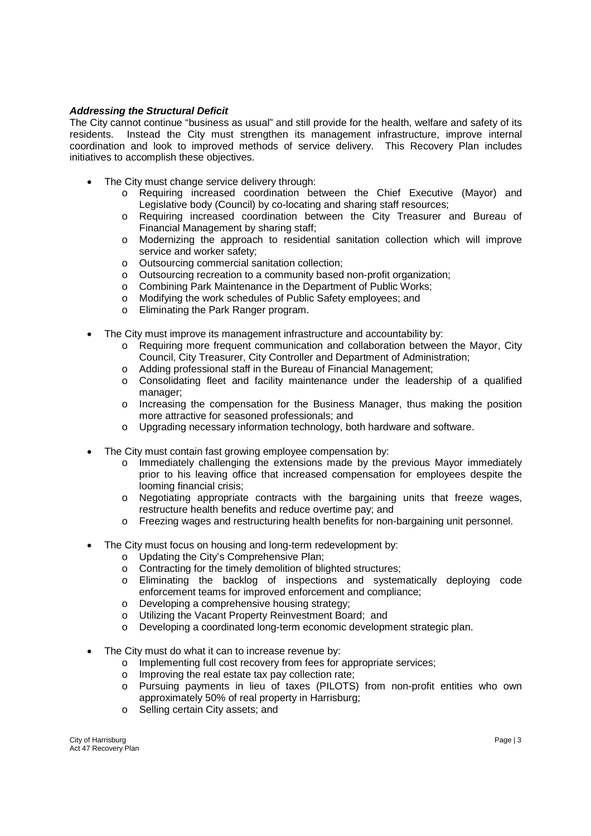#### *Addressing the Structural Deficit*

The City cannot continue "business as usual" and still provide for the health, welfare and safety of its residents. Instead the City must strengthen its management infrastructure, improve internal coordination and look to improved methods of service delivery. This Recovery Plan includes initiatives to accomplish these objectives.

- The City must change service delivery through:
	- o Requiring increased coordination between the Chief Executive (Mayor) and Legislative body (Council) by co-locating and sharing staff resources;
	- o Requiring increased coordination between the City Treasurer and Bureau of Financial Management by sharing staff;
	- o Modernizing the approach to residential sanitation collection which will improve service and worker safety;
	- o Outsourcing commercial sanitation collection;
	- o Outsourcing recreation to a community based non-profit organization;
	- o Combining Park Maintenance in the Department of Public Works;
	- o Modifying the work schedules of Public Safety employees; and
	- o Eliminating the Park Ranger program.
- The City must improve its management infrastructure and accountability by:
	- o Requiring more frequent communication and collaboration between the Mayor, City Council, City Treasurer, City Controller and Department of Administration;
	- o Adding professional staff in the Bureau of Financial Management;
	- o Consolidating fleet and facility maintenance under the leadership of a qualified manager;
	- o Increasing the compensation for the Business Manager, thus making the position more attractive for seasoned professionals; and
	- o Upgrading necessary information technology, both hardware and software.
- The City must contain fast growing employee compensation by:
	- o Immediately challenging the extensions made by the previous Mayor immediately prior to his leaving office that increased compensation for employees despite the looming financial crisis;
	- $\circ$  Negotiating appropriate contracts with the bargaining units that freeze wages, restructure health benefits and reduce overtime pay; and
	- o Freezing wages and restructuring health benefits for non-bargaining unit personnel.
- The City must focus on housing and long-term redevelopment by:
	-
	- o Updating the City's Comprehensive Plan;<br>
	o Contracting for the timely demolition of bli Contracting for the timely demolition of blighted structures;
	- o Eliminating the backlog of inspections and systematically deploying code enforcement teams for improved enforcement and compliance;
	- o Developing a comprehensive housing strategy;
	- o Utilizing the Vacant Property Reinvestment Board; and
	- o Developing a coordinated long-term economic development strategic plan.
- The City must do what it can to increase revenue by:
	- o Implementing full cost recovery from fees for appropriate services;
	- o Improving the real estate tax pay collection rate;
	- o Pursuing payments in lieu of taxes (PILOTS) from non-profit entities who own approximately 50% of real property in Harrisburg;
	- o Selling certain City assets; and

City of Harrisburg Page | 3 Act 47 Recovery Plan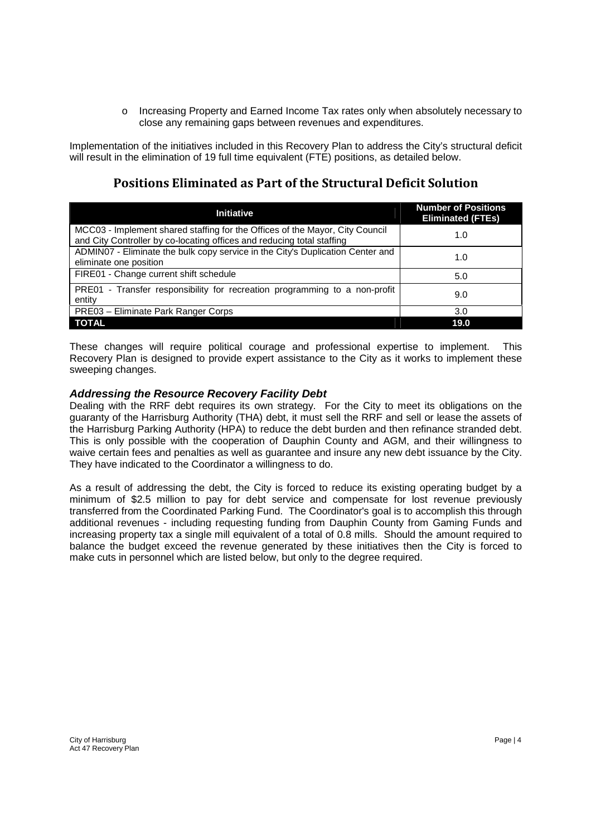o Increasing Property and Earned Income Tax rates only when absolutely necessary to close any remaining gaps between revenues and expenditures.

Implementation of the initiatives included in this Recovery Plan to address the City's structural deficit will result in the elimination of 19 full time equivalent (FTE) positions, as detailed below.

### **Positions Eliminated as Part of the Structural Deficit Solution**

| <b>Initiative</b>                                                                                                                                      | <b>Number of Positions</b><br><b>Eliminated (FTEs)</b> |
|--------------------------------------------------------------------------------------------------------------------------------------------------------|--------------------------------------------------------|
| MCC03 - Implement shared staffing for the Offices of the Mayor, City Council<br>and City Controller by co-locating offices and reducing total staffing | 1.0                                                    |
| ADMIN07 - Eliminate the bulk copy service in the City's Duplication Center and<br>eliminate one position                                               | 1.0                                                    |
| FIRE01 - Change current shift schedule                                                                                                                 | 5.0                                                    |
| PRE01 - Transfer responsibility for recreation programming to a non-profit<br>entity                                                                   | 9.0                                                    |
| PRE03 - Eliminate Park Ranger Corps                                                                                                                    | 3.0                                                    |
| <b>TOTAL</b>                                                                                                                                           | 19.0                                                   |

These changes will require political courage and professional expertise to implement. This Recovery Plan is designed to provide expert assistance to the City as it works to implement these sweeping changes.

#### *Addressing the Resource Recovery Facility Debt*

Dealing with the RRF debt requires its own strategy. For the City to meet its obligations on the guaranty of the Harrisburg Authority (THA) debt, it must sell the RRF and sell or lease the assets of the Harrisburg Parking Authority (HPA) to reduce the debt burden and then refinance stranded debt. This is only possible with the cooperation of Dauphin County and AGM, and their willingness to waive certain fees and penalties as well as guarantee and insure any new debt issuance by the City. They have indicated to the Coordinator a willingness to do.

As a result of addressing the debt, the City is forced to reduce its existing operating budget by a minimum of \$2.5 million to pay for debt service and compensate for lost revenue previously transferred from the Coordinated Parking Fund. The Coordinator's goal is to accomplish this through additional revenues - including requesting funding from Dauphin County from Gaming Funds and increasing property tax a single mill equivalent of a total of 0.8 mills. Should the amount required to balance the budget exceed the revenue generated by these initiatives then the City is forced to make cuts in personnel which are listed below, but only to the degree required.